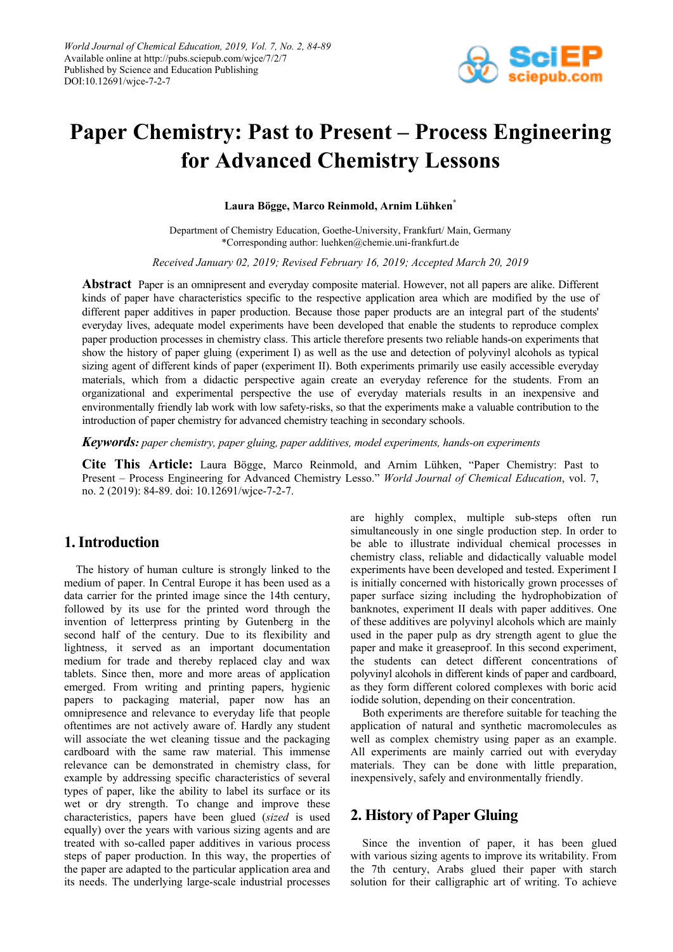

# **Paper Chemistry: Past to Present – Process Engineering for Advanced Chemistry Lessons**

**Laura Bögge, Marco Reinmold, Arnim Lühken\***

Department of Chemistry Education, Goethe-University, Frankfurt/ Main, Germany \*Corresponding author: luehken@chemie.uni-frankfurt.de

*Received January 02, 2019; Revised February 16, 2019; Accepted March 20, 2019*

**Abstract** Paper is an omnipresent and everyday composite material. However, not all papers are alike. Different kinds of paper have characteristics specific to the respective application area which are modified by the use of different paper additives in paper production. Because those paper products are an integral part of the students' everyday lives, adequate model experiments have been developed that enable the students to reproduce complex paper production processes in chemistry class. This article therefore presents two reliable hands-on experiments that show the history of paper gluing (experiment I) as well as the use and detection of polyvinyl alcohols as typical sizing agent of different kinds of paper (experiment II). Both experiments primarily use easily accessible everyday materials, which from a didactic perspective again create an everyday reference for the students. From an organizational and experimental perspective the use of everyday materials results in an inexpensive and environmentally friendly lab work with low safety-risks, so that the experiments make a valuable contribution to the introduction of paper chemistry for advanced chemistry teaching in secondary schools.

*Keywords: paper chemistry, paper gluing, paper additives, model experiments, hands-on experiments*

**Cite This Article:** Laura Bögge, Marco Reinmold, and Arnim Lühken, "Paper Chemistry: Past to Present – Process Engineering for Advanced Chemistry Lesso." *World Journal of Chemical Education*, vol. 7, no. 2 (2019): 84-89. doi: 10.12691/wjce-7-2-7.

# **1. Introduction**

The history of human culture is strongly linked to the medium of paper. In Central Europe it has been used as a data carrier for the printed image since the 14th century, followed by its use for the printed word through the invention of letterpress printing by Gutenberg in the second half of the century. Due to its flexibility and lightness, it served as an important documentation medium for trade and thereby replaced clay and wax tablets. Since then, more and more areas of application emerged. From writing and printing papers, hygienic papers to packaging material, paper now has an omnipresence and relevance to everyday life that people oftentimes are not actively aware of. Hardly any student will associate the wet cleaning tissue and the packaging cardboard with the same raw material. This immense relevance can be demonstrated in chemistry class, for example by addressing specific characteristics of several types of paper, like the ability to label its surface or its wet or dry strength. To change and improve these characteristics, papers have been glued (*sized* is used equally) over the years with various sizing agents and are treated with so-called paper additives in various process steps of paper production. In this way, the properties of the paper are adapted to the particular application area and its needs. The underlying large-scale industrial processes are highly complex, multiple sub-steps often run simultaneously in one single production step. In order to be able to illustrate individual chemical processes in chemistry class, reliable and didactically valuable model experiments have been developed and tested. Experiment I is initially concerned with historically grown processes of paper surface sizing including the hydrophobization of banknotes, experiment II deals with paper additives. One of these additives are polyvinyl alcohols which are mainly used in the paper pulp as dry strength agent to glue the paper and make it greaseproof. In this second experiment, the students can detect different concentrations of polyvinyl alcohols in different kinds of paper and cardboard, as they form different colored complexes with boric acid iodide solution, depending on their concentration.

Both experiments are therefore suitable for teaching the application of natural and synthetic macromolecules as well as complex chemistry using paper as an example. All experiments are mainly carried out with everyday materials. They can be done with little preparation, inexpensively, safely and environmentally friendly.

# **2. History of Paper Gluing**

Since the invention of paper, it has been glued with various sizing agents to improve its writability. From the 7th century, Arabs glued their paper with starch solution for their calligraphic art of writing. To achieve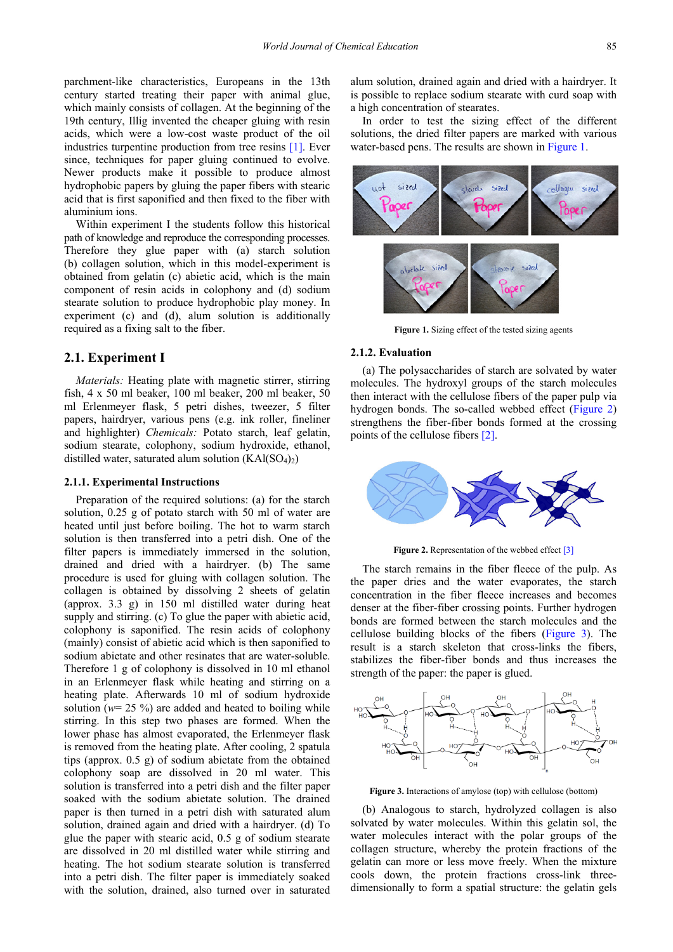parchment-like characteristics, Europeans in the 13th century started treating their paper with animal glue, which mainly consists of collagen. At the beginning of the 19th century, Illig invented the cheaper gluing with resin acids, which were a low-cost waste product of the oil industries turpentine production from tree resins [\[1\].](#page-5-0) Ever since, techniques for paper gluing continued to evolve. Newer products make it possible to produce almost hydrophobic papers by gluing the paper fibers with stearic acid that is first saponified and then fixed to the fiber with aluminium ions.

Within experiment I the students follow this historical path of knowledge and reproduce the corresponding processes. Therefore they glue paper with (a) starch solution (b) collagen solution, which in this model-experiment is obtained from gelatin (c) abietic acid, which is the main component of resin acids in colophony and (d) sodium stearate solution to produce hydrophobic play money. In experiment (c) and (d), alum solution is additionally required as a fixing salt to the fiber.

## **2.1. Experiment I**

*Materials:* Heating plate with magnetic stirrer, stirring fish, 4 x 50 ml beaker, 100 ml beaker, 200 ml beaker, 50 ml Erlenmeyer flask, 5 petri dishes, tweezer, 5 filter papers, hairdryer, various pens (e.g. ink roller, fineliner and highlighter) *Chemicals:* Potato starch, leaf gelatin, sodium stearate, colophony, sodium hydroxide, ethanol, distilled water, saturated alum solution  $(KAI(SO<sub>4</sub>)<sub>2</sub>)$ 

## **2.1.1. Experimental Instructions**

Preparation of the required solutions: (a) for the starch solution, 0.25 g of potato starch with 50 ml of water are heated until just before boiling. The hot to warm starch solution is then transferred into a petri dish. One of the filter papers is immediately immersed in the solution, drained and dried with a hairdryer. (b) The same procedure is used for gluing with collagen solution. The collagen is obtained by dissolving 2 sheets of gelatin (approx. 3.3 g) in 150 ml distilled water during heat supply and stirring. (c) To glue the paper with abietic acid, colophony is saponified. The resin acids of colophony (mainly) consist of abietic acid which is then saponified to sodium abietate and other resinates that are water-soluble. Therefore 1 g of colophony is dissolved in 10 ml ethanol in an Erlenmeyer flask while heating and stirring on a heating plate. Afterwards 10 ml of sodium hydroxide solution ( $w=$  25 %) are added and heated to boiling while stirring. In this step two phases are formed. When the lower phase has almost evaporated, the Erlenmeyer flask is removed from the heating plate. After cooling, 2 spatula tips (approx. 0.5 g) of sodium abietate from the obtained colophony soap are dissolved in 20 ml water. This solution is transferred into a petri dish and the filter paper soaked with the sodium abietate solution. The drained paper is then turned in a petri dish with saturated alum solution, drained again and dried with a hairdryer. (d) To glue the paper with stearic acid, 0.5 g of sodium stearate are dissolved in 20 ml distilled water while stirring and heating. The hot sodium stearate solution is transferred into a petri dish. The filter paper is immediately soaked with the solution, drained, also turned over in saturated

alum solution, drained again and dried with a hairdryer. It is possible to replace sodium stearate with curd soap with a high concentration of stearates.

In order to test the sizing effect of the different solutions, the dried filter papers are marked with various water-based pens. The results are shown i[n Figure 1.](#page-1-0)

<span id="page-1-0"></span>

**Figure 1.** Sizing effect of the tested sizing agents

#### **2.1.2. Evaluation**

(a) The polysaccharides of starch are solvated by water molecules. The hydroxyl groups of the starch molecules then interact with the cellulose fibers of the paper pulp via hydrogen bonds. The so-called webbed effect [\(Figure 2\)](#page-1-1) strengthens the fiber-fiber bonds formed at the crossing points of the cellulose fibers [\[2\].](#page-5-1)

<span id="page-1-1"></span>

Figure 2. Representation of the webbed effec[t \[3\]](#page-5-2)

The starch remains in the fiber fleece of the pulp. As the paper dries and the water evaporates, the starch concentration in the fiber fleece increases and becomes denser at the fiber-fiber crossing points. Further hydrogen bonds are formed between the starch molecules and the cellulose building blocks of the fibers [\(Figure 3\)](#page-1-2). The result is a starch skeleton that cross-links the fibers, stabilizes the fiber-fiber bonds and thus increases the strength of the paper: the paper is glued.

<span id="page-1-2"></span>

**Figure 3.** Interactions of amylose (top) with cellulose (bottom)

(b) Analogous to starch, hydrolyzed collagen is also solvated by water molecules. Within this gelatin sol, the water molecules interact with the polar groups of the collagen structure, whereby the protein fractions of the gelatin can more or less move freely. When the mixture cools down, the protein fractions cross-link threedimensionally to form a spatial structure: the gelatin gels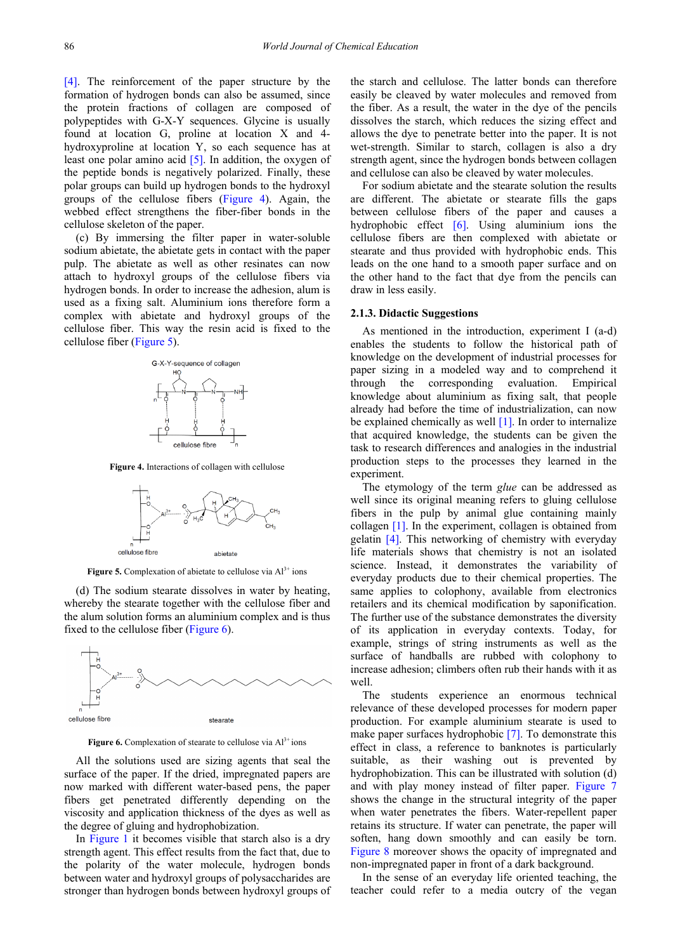[\[4\].](#page-5-3) The reinforcement of the paper structure by the formation of hydrogen bonds can also be assumed, since the protein fractions of collagen are composed of polypeptides with G-X-Y sequences. Glycine is usually found at location G, proline at location X and 4 hydroxyproline at location Y, so each sequence has at least one polar amino acid [\[5\].](#page-5-4) In addition, the oxygen of the peptide bonds is negatively polarized. Finally, these polar groups can build up hydrogen bonds to the hydroxyl groups of the cellulose fibers [\(Figure 4\)](#page-2-0). Again, the webbed effect strengthens the fiber-fiber bonds in the cellulose skeleton of the paper.

(c) By immersing the filter paper in water-soluble sodium abietate, the abietate gets in contact with the paper pulp. The abietate as well as other resinates can now attach to hydroxyl groups of the cellulose fibers via hydrogen bonds. In order to increase the adhesion, alum is used as a fixing salt. Aluminium ions therefore form a complex with abietate and hydroxyl groups of the cellulose fiber. This way the resin acid is fixed to the cellulose fiber [\(Figure 5\)](#page-2-1).

<span id="page-2-0"></span>

**Figure 4.** Interactions of collagen with cellulose

<span id="page-2-1"></span>

**Figure 5.** Complexation of abietate to cellulose via  $Al<sup>3+</sup>$  ions

(d) The sodium stearate dissolves in water by heating, whereby the stearate together with the cellulose fiber and the alum solution forms an aluminium complex and is thus fixed to the cellulose fiber [\(Figure 6\)](#page-2-2).

<span id="page-2-2"></span>

**Figure 6.** Complexation of stearate to cellulose via Al<sup>3+</sup> ions

All the solutions used are sizing agents that seal the surface of the paper. If the dried, impregnated papers are now marked with different water-based pens, the paper fibers get penetrated differently depending on the viscosity and application thickness of the dyes as well as the degree of gluing and hydrophobization.

In [Figure 1](#page-1-0) it becomes visible that starch also is a dry strength agent. This effect results from the fact that, due to the polarity of the water molecule, hydrogen bonds between water and hydroxyl groups of polysaccharides are stronger than hydrogen bonds between hydroxyl groups of the starch and cellulose. The latter bonds can therefore easily be cleaved by water molecules and removed from the fiber. As a result, the water in the dye of the pencils dissolves the starch, which reduces the sizing effect and allows the dye to penetrate better into the paper. It is not wet-strength. Similar to starch, collagen is also a dry strength agent, since the hydrogen bonds between collagen and cellulose can also be cleaved by water molecules.

For sodium abietate and the stearate solution the results are different. The abietate or stearate fills the gaps between cellulose fibers of the paper and causes a hydrophobic effect [\[6\].](#page-5-5) Using aluminium ions the cellulose fibers are then complexed with abietate or stearate and thus provided with hydrophobic ends. This leads on the one hand to a smooth paper surface and on the other hand to the fact that dye from the pencils can draw in less easily.

#### **2.1.3. Didactic Suggestions**

As mentioned in the introduction, experiment I (a-d) enables the students to follow the historical path of knowledge on the development of industrial processes for paper sizing in a modeled way and to comprehend it through the corresponding evaluation. Empirical knowledge about aluminium as fixing salt, that people already had before the time of industrialization, can now be explained chemically as well [\[1\].](#page-5-0) In order to internalize that acquired knowledge, the students can be given the task to research differences and analogies in the industrial production steps to the processes they learned in the experiment.

The etymology of the term *glue* can be addressed as well since its original meaning refers to gluing cellulose fibers in the pulp by animal glue containing mainly collagen [\[1\].](#page-5-0) In the experiment, collagen is obtained from gelatin [\[4\].](#page-5-3) This networking of chemistry with everyday life materials shows that chemistry is not an isolated science. Instead, it demonstrates the variability of everyday products due to their chemical properties. The same applies to colophony, available from electronics retailers and its chemical modification by saponification. The further use of the substance demonstrates the diversity of its application in everyday contexts. Today, for example, strings of string instruments as well as the surface of handballs are rubbed with colophony to increase adhesion; climbers often rub their hands with it as well.

The students experience an enormous technical relevance of these developed processes for modern paper production. For example aluminium stearate is used to make paper surfaces hydrophobic [\[7\].](#page-5-6) To demonstrate this effect in class, a reference to banknotes is particularly suitable, as their washing out is prevented by hydrophobization. This can be illustrated with solution (d) and with play money instead of filter paper. [Figure 7](#page-3-0) shows the change in the structural integrity of the paper when water penetrates the fibers. Water-repellent paper retains its structure. If water can penetrate, the paper will soften, hang down smoothly and can easily be torn. [Figure 8](#page-3-1) moreover shows the opacity of impregnated and non-impregnated paper in front of a dark background.

In the sense of an everyday life oriented teaching, the teacher could refer to a media outcry of the vegan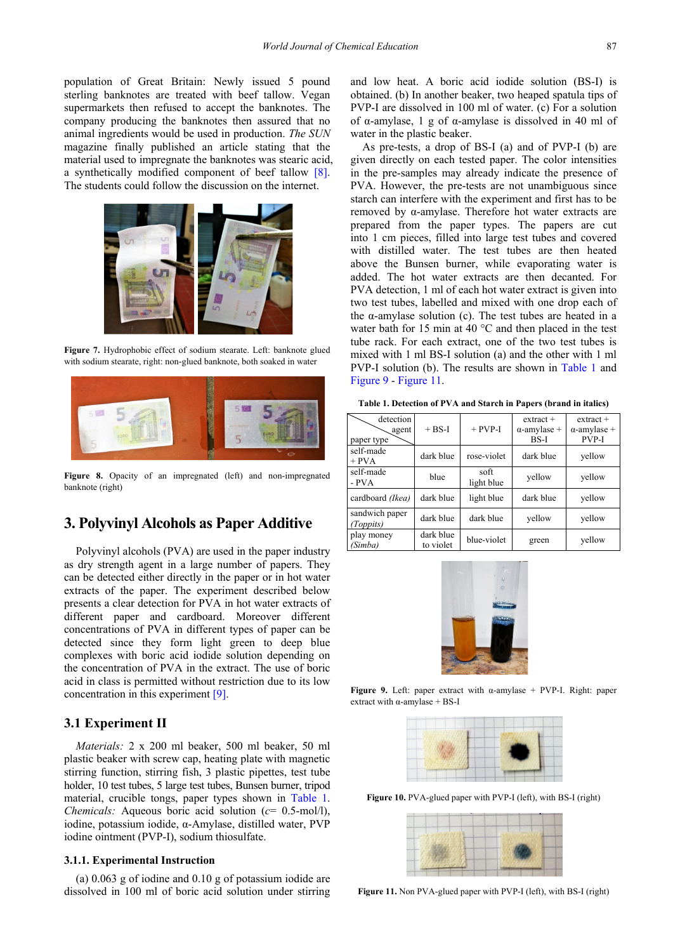population of Great Britain: Newly issued 5 pound sterling banknotes are treated with beef tallow. Vegan supermarkets then refused to accept the banknotes. The company producing the banknotes then assured that no animal ingredients would be used in production. *The SUN*  magazine finally published an article stating that the material used to impregnate the banknotes was stearic acid, a synthetically modified component of beef tallow [\[8\].](#page-5-7) The students could follow the discussion on the internet.

<span id="page-3-0"></span>

**Figure 7.** Hydrophobic effect of sodium stearate. Left: banknote glued with sodium stearate, right: non-glued banknote, both soaked in water

<span id="page-3-1"></span>

Figure 8. Opacity of an impregnated (left) and non-impregnated banknote (right)

## **3. Polyvinyl Alcohols as Paper Additive**

Polyvinyl alcohols (PVA) are used in the paper industry as dry strength agent in a large number of papers. They can be detected either directly in the paper or in hot water extracts of the paper. The experiment described below presents a clear detection for PVA in hot water extracts of different paper and cardboard. Moreover different concentrations of PVA in different types of paper can be detected since they form light green to deep blue complexes with boric acid iodide solution depending on the concentration of PVA in the extract. The use of boric acid in class is permitted without restriction due to its low concentration in this experiment [\[9\].](#page-5-8)

## **3.1 Experiment II**

*Materials:* 2 x 200 ml beaker, 500 ml beaker, 50 ml plastic beaker with screw cap, heating plate with magnetic stirring function, stirring fish, 3 plastic pipettes, test tube holder, 10 test tubes, 5 large test tubes, Bunsen burner, tripod material, crucible tongs, paper types shown in [Table 1.](#page-3-2) *Chemicals:* Aqueous boric acid solution (*c*= 0.5-mol/l), iodine, potassium iodide, α-Amylase, distilled water, PVP iodine ointment (PVP-I), sodium thiosulfate.

## **3.1.1. Experimental Instruction**

(a) 0.063 g of iodine and 0.10 g of potassium iodide are dissolved in 100 ml of boric acid solution under stirring and low heat. A boric acid iodide solution (BS-I) is obtained. (b) In another beaker, two heaped spatula tips of PVP-I are dissolved in 100 ml of water. (c) For a solution of  $\alpha$ -amylase, 1 g of  $\alpha$ -amylase is dissolved in 40 ml of water in the plastic beaker.

As pre-tests, a drop of BS-I (a) and of PVP-I (b) are given directly on each tested paper. The color intensities in the pre-samples may already indicate the presence of PVA. However, the pre-tests are not unambiguous since starch can interfere with the experiment and first has to be removed by α-amylase. Therefore hot water extracts are prepared from the paper types. The papers are cut into 1 cm pieces, filled into large test tubes and covered with distilled water. The test tubes are then heated above the Bunsen burner, while evaporating water is added. The hot water extracts are then decanted. For PVA detection, 1 ml of each hot water extract is given into two test tubes, labelled and mixed with one drop each of the α-amylase solution (c). The test tubes are heated in a water bath for 15 min at 40 °C and then placed in the test tube rack. For each extract, one of the two test tubes is mixed with 1 ml BS-I solution (a) and the other with 1 ml PVP-I solution (b). The results are shown in [Table 1](#page-3-2) and [Figure 9](#page-3-3) - [Figure 11.](#page-3-4)

**Table 1. Detection of PVA and Starch in Papers (brand in italics)**

<span id="page-3-2"></span>

| detection<br>agent<br>paper type | $+ BS-I$               | $+$ PVP-I          | $extrac{t +}{}$<br>$\alpha$ -amylase +<br>BS-I | $extract +$<br>$\alpha$ -amylase +<br>PVP-I |
|----------------------------------|------------------------|--------------------|------------------------------------------------|---------------------------------------------|
| self-made<br>$+$ PVA             | dark blue              | rose-violet        | dark blue                                      | yellow                                      |
| self-made<br>- PVA               | blue                   | soft<br>light blue | yellow                                         | vellow                                      |
| cardboard (Ikea)                 | dark blue              | light blue         | dark blue                                      | yellow                                      |
| sandwich paper<br>(Toppits)      | dark blue              | dark blue          | vellow                                         | yellow                                      |
| play money<br>(Simba)            | dark blue<br>to violet | blue-violet        | green                                          | vellow                                      |

<span id="page-3-3"></span>

**Figure 9.** Left: paper extract with α-amylase + PVP-I. Right: paper extract with  $\alpha$ -amylase + BS-I



**Figure 10.** PVA-glued paper with PVP-I (left), with BS-I (right)

<span id="page-3-4"></span>

**Figure 11.** Non PVA-glued paper with PVP-I (left), with BS-I (right)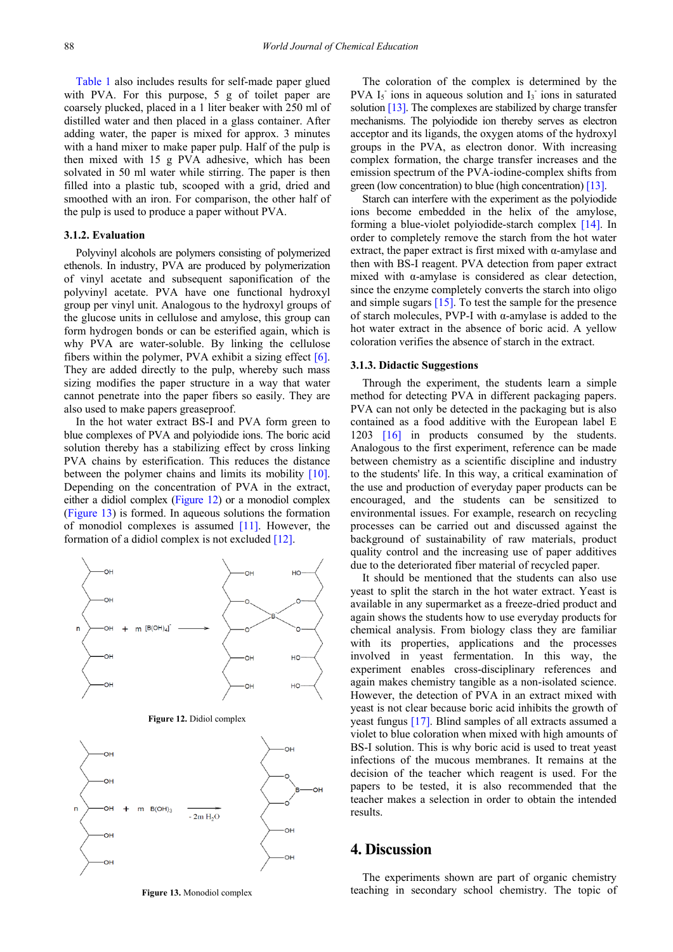[Table 1](#page-3-2) also includes results for self-made paper glued with PVA. For this purpose, 5 g of toilet paper are coarsely plucked, placed in a 1 liter beaker with 250 ml of distilled water and then placed in a glass container. After adding water, the paper is mixed for approx. 3 minutes with a hand mixer to make paper pulp. Half of the pulp is then mixed with 15 g PVA adhesive, which has been solvated in 50 ml water while stirring. The paper is then filled into a plastic tub, scooped with a grid, dried and smoothed with an iron. For comparison, the other half of the pulp is used to produce a paper without PVA.

## **3.1.2. Evaluation**

Polyvinyl alcohols are polymers consisting of polymerized ethenols. In industry, PVA are produced by polymerization of vinyl acetate and subsequent saponification of the polyvinyl acetate. PVA have one functional hydroxyl group per vinyl unit. Analogous to the hydroxyl groups of the glucose units in cellulose and amylose, this group can form hydrogen bonds or can be esterified again, which is why PVA are water-soluble. By linking the cellulose fibers within the polymer, PVA exhibit a sizing effect [\[6\].](#page-5-5) They are added directly to the pulp, whereby such mass sizing modifies the paper structure in a way that water cannot penetrate into the paper fibers so easily. They are also used to make papers greaseproof.

In the hot water extract BS-I and PVA form green to blue complexes of PVA and polyiodide ions. The boric acid solution thereby has a stabilizing effect by cross linking PVA chains by esterification. This reduces the distance between the polymer chains and limits its mobility [\[10\].](#page-5-9) Depending on the concentration of PVA in the extract, either a didiol complex [\(Figure 12\)](#page-4-0) or a monodiol complex [\(Figure 13\)](#page-4-1) is formed. In aqueous solutions the formation of monodiol complexes is assumed  $[11]$ . However, the formation of a didiol complex is not excluded [\[12\].](#page-5-11)

<span id="page-4-0"></span>

<span id="page-4-1"></span>**Figure 13.** Monodiol complex

The coloration of the complex is determined by the PVA  $I_5$  ions in aqueous solution and  $I_3$  ions in saturated solutio[n \[13\].](#page-5-12) The complexes are stabilized by charge transfer mechanisms. The polyiodide ion thereby serves as electron acceptor and its ligands, the oxygen atoms of the hydroxyl groups in the PVA, as electron donor. With increasing complex formation, the charge transfer increases and the emission spectrum of the PVA-iodine-complex shifts from green (low concentration) to blue (high concentration) [\[13\].](#page-5-12) 

Starch can interfere with the experiment as the polyiodide ions become embedded in the helix of the amylose, forming a blue-violet polyiodide-starch complex [\[14\].](#page-5-13) In order to completely remove the starch from the hot water extract, the paper extract is first mixed with  $\alpha$ -amylase and then with BS-I reagent. PVA detection from paper extract mixed with α-amylase is considered as clear detection, since the enzyme completely converts the starch into oligo and simple sugars [\[15\].](#page-5-14) To test the sample for the presence of starch molecules, PVP-I with α-amylase is added to the hot water extract in the absence of boric acid. A yellow coloration verifies the absence of starch in the extract.

#### **3.1.3. Didactic Suggestions**

Through the experiment, the students learn a simple method for detecting PVA in different packaging papers. PVA can not only be detected in the packaging but is also contained as a food additive with the European label E 1203 [\[16\]](#page-5-15) in products consumed by the students. Analogous to the first experiment, reference can be made between chemistry as a scientific discipline and industry to the students' life. In this way, a critical examination of the use and production of everyday paper products can be encouraged, and the students can be sensitized to environmental issues. For example, research on recycling processes can be carried out and discussed against the background of sustainability of raw materials, product quality control and the increasing use of paper additives due to the deteriorated fiber material of recycled paper.

It should be mentioned that the students can also use yeast to split the starch in the hot water extract. Yeast is available in any supermarket as a freeze-dried product and again shows the students how to use everyday products for chemical analysis. From biology class they are familiar with its properties, applications and the processes involved in yeast fermentation. In this way, the experiment enables cross-disciplinary references and again makes chemistry tangible as a non-isolated science. However, the detection of PVA in an extract mixed with yeast is not clear because boric acid inhibits the growth of yeast fungus [\[17\].](#page-5-16) Blind samples of all extracts assumed a violet to blue coloration when mixed with high amounts of BS-I solution. This is why boric acid is used to treat yeast infections of the mucous membranes. It remains at the decision of the teacher which reagent is used. For the papers to be tested, it is also recommended that the teacher makes a selection in order to obtain the intended results.

## **4. Discussion**

The experiments shown are part of organic chemistry teaching in secondary school chemistry. The topic of